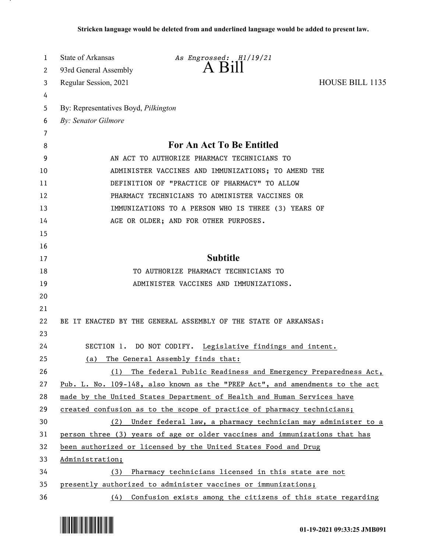| 1  | State of Arkansas<br>As Engrossed: H1/19/21                                  |
|----|------------------------------------------------------------------------------|
| 2  | A Bill<br>93rd General Assembly                                              |
| 3  | HOUSE BILL 1135<br>Regular Session, 2021                                     |
| 4  |                                                                              |
| 5  | By: Representatives Boyd, Pilkington                                         |
| 6  | By: Senator Gilmore                                                          |
| 7  |                                                                              |
| 8  | <b>For An Act To Be Entitled</b>                                             |
| 9  | AN ACT TO AUTHORIZE PHARMACY TECHNICIANS TO                                  |
| 10 | ADMINISTER VACCINES AND IMMUNIZATIONS; TO AMEND THE                          |
| 11 | DEFINITION OF "PRACTICE OF PHARMACY" TO ALLOW                                |
| 12 | PHARMACY TECHNICIANS TO ADMINISTER VACCINES OR                               |
| 13 | IMMUNIZATIONS TO A PERSON WHO IS THREE (3) YEARS OF                          |
| 14 | AGE OR OLDER; AND FOR OTHER PURPOSES.                                        |
| 15 |                                                                              |
| 16 |                                                                              |
| 17 | <b>Subtitle</b>                                                              |
| 18 | TO AUTHORIZE PHARMACY TECHNICIANS TO                                         |
| 19 | ADMINISTER VACCINES AND IMMUNIZATIONS.                                       |
| 20 |                                                                              |
| 21 |                                                                              |
| 22 | BE IT ENACTED BY THE GENERAL ASSEMBLY OF THE STATE OF ARKANSAS:              |
| 23 |                                                                              |
| 24 | SECTION 1. DO NOT CODIFY. Legislative findings and intent.                   |
| 25 | The General Assembly finds that:<br>(a)                                      |
| 26 | The federal Public Readiness and Emergency Preparedness Act,<br>(1)          |
| 27 | Pub. L. No. 109-148, also known as the "PREP Act", and amendments to the act |
| 28 | made by the United States Department of Health and Human Services have       |
| 29 | created confusion as to the scope of practice of pharmacy technicians;       |
| 30 | Under federal law, a pharmacy technician may administer to a<br>(2)          |
| 31 | person three (3) years of age or older vaccines and immunizations that has   |
| 32 | been authorized or licensed by the United States Food and Drug               |
| 33 | Administration;                                                              |
| 34 | Pharmacy technicians licensed in this state are not<br>(3)                   |
| 35 | presently authorized to administer vaccines or immunizations;                |
| 36 | (4) Confusion exists among the citizens of this state regarding              |

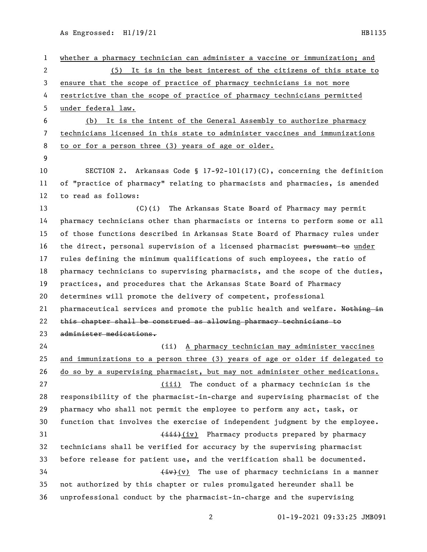whether a pharmacy technician can administer a vaccine or immunization; and (5) It is in the best interest of the citizens of this state to ensure that the scope of practice of pharmacy technicians is not more restrictive than the scope of practice of pharmacy technicians permitted under federal law. (b) It is the intent of the General Assembly to authorize pharmacy technicians licensed in this state to administer vaccines and immunizations to or for a person three (3) years of age or older. SECTION 2. Arkansas Code § 17-92-101(17)(C), concerning the definition of "practice of pharmacy" relating to pharmacists and pharmacies, is amended to read as follows: (C)(i) The Arkansas State Board of Pharmacy may permit pharmacy technicians other than pharmacists or interns to perform some or all of those functions described in Arkansas State Board of Pharmacy rules under 16 the direct, personal supervision of a licensed pharmacist pursuant to under rules defining the minimum qualifications of such employees, the ratio of pharmacy technicians to supervising pharmacists, and the scope of the duties, practices, and procedures that the Arkansas State Board of Pharmacy determines will promote the delivery of competent, professional 21 pharmaceutical services and promote the public health and welfare. Nothing in this chapter shall be construed as allowing pharmacy technicians to administer medications. (ii) A pharmacy technician may administer vaccines and immunizations to a person three (3) years of age or older if delegated to do so by a supervising pharmacist, but may not administer other medications. (iii) The conduct of a pharmacy technician is the responsibility of the pharmacist-in-charge and supervising pharmacist of the pharmacy who shall not permit the employee to perform any act, task, or function that involves the exercise of independent judgment by the employee. 31 (iv) Pharmacy products prepared by pharmacy technicians shall be verified for accuracy by the supervising pharmacist before release for patient use, and the verification shall be documented.  $\leftarrow$   $\leftarrow$   $\leftarrow$   $\leftarrow$   $\leftarrow$   $\leftarrow$   $\leftarrow$   $\leftarrow$   $\leftarrow$   $\leftarrow$   $\leftarrow$   $\leftarrow$   $\leftarrow$   $\leftarrow$   $\leftarrow$   $\leftarrow$   $\leftarrow$   $\leftarrow$   $\leftarrow$   $\leftarrow$   $\leftarrow$   $\leftarrow$   $\leftarrow$   $\leftarrow$   $\leftarrow$   $\leftarrow$   $\leftarrow$   $\leftarrow$   $\leftarrow$   $\leftarrow$   $\leftarrow$   $\leftarrow$   $\leftarrow$   $\leftarrow$   $\leftarrow$   $\leftarrow$   $\$  not authorized by this chapter or rules promulgated hereunder shall be unprofessional conduct by the pharmacist-in-charge and the supervising

01-19-2021 09:33:25 JMB091